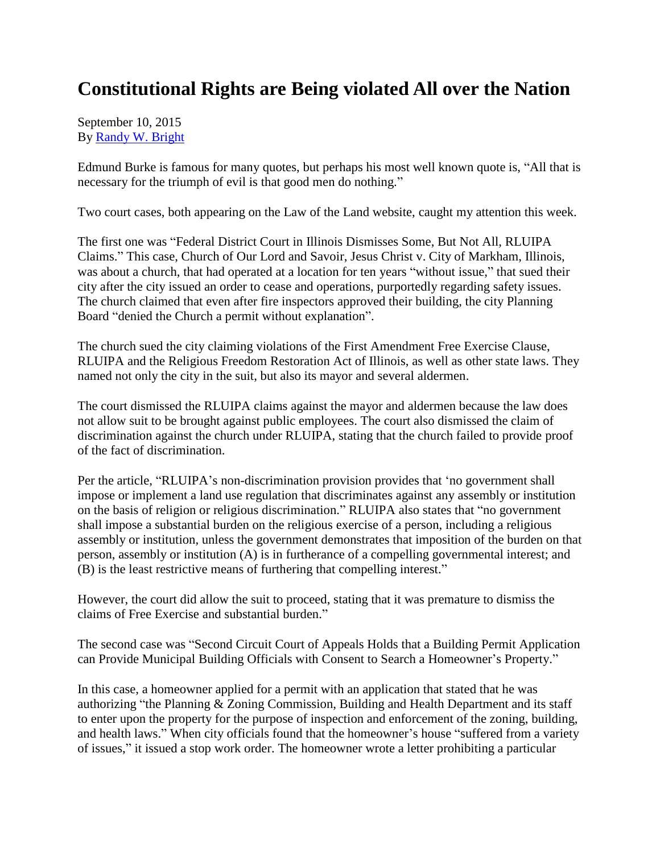## **Constitutional Rights are Being violated All over the Nation**

September 10, 2015 By [Randy W. Bright](http://www.tulsabeacon.com/author/slug-o6yd1v)

Edmund Burke is famous for many quotes, but perhaps his most well known quote is, "All that is necessary for the triumph of evil is that good men do nothing."

Two court cases, both appearing on the Law of the Land website, caught my attention this week.

The first one was "Federal District Court in Illinois Dismisses Some, But Not All, RLUIPA Claims." This case, Church of Our Lord and Savoir, Jesus Christ v. City of Markham, Illinois, was about a church, that had operated at a location for ten years "without issue," that sued their city after the city issued an order to cease and operations, purportedly regarding safety issues. The church claimed that even after fire inspectors approved their building, the city Planning Board "denied the Church a permit without explanation".

The church sued the city claiming violations of the First Amendment Free Exercise Clause, RLUIPA and the Religious Freedom Restoration Act of Illinois, as well as other state laws. They named not only the city in the suit, but also its mayor and several aldermen.

The court dismissed the RLUIPA claims against the mayor and aldermen because the law does not allow suit to be brought against public employees. The court also dismissed the claim of discrimination against the church under RLUIPA, stating that the church failed to provide proof of the fact of discrimination.

Per the article, "RLUIPA's non-discrimination provision provides that 'no government shall impose or implement a land use regulation that discriminates against any assembly or institution on the basis of religion or religious discrimination." RLUIPA also states that "no government shall impose a substantial burden on the religious exercise of a person, including a religious assembly or institution, unless the government demonstrates that imposition of the burden on that person, assembly or institution (A) is in furtherance of a compelling governmental interest; and (B) is the least restrictive means of furthering that compelling interest."

However, the court did allow the suit to proceed, stating that it was premature to dismiss the claims of Free Exercise and substantial burden."

The second case was "Second Circuit Court of Appeals Holds that a Building Permit Application can Provide Municipal Building Officials with Consent to Search a Homeowner"s Property."

In this case, a homeowner applied for a permit with an application that stated that he was authorizing "the Planning & Zoning Commission, Building and Health Department and its staff to enter upon the property for the purpose of inspection and enforcement of the zoning, building, and health laws." When city officials found that the homeowner's house "suffered from a variety of issues," it issued a stop work order. The homeowner wrote a letter prohibiting a particular